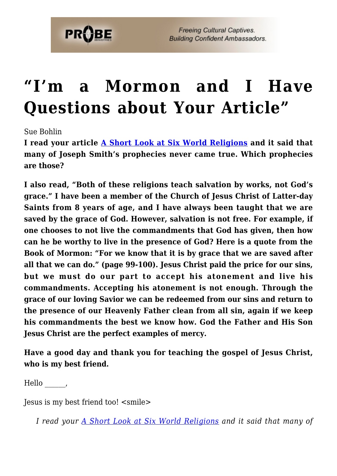

## **["I'm a Mormon and I Have](https://probe.org/im-a-mormon-and-i-have-questions-about-your-article/) [Questions about Your Article"](https://probe.org/im-a-mormon-and-i-have-questions-about-your-article/)**

Sue Bohlin

**I read your article [A Short Look at Six World Religions](https://www.probe.org/a-short-look-at-six-world-religions/) and it said that many of Joseph Smith's prophecies never came true. Which prophecies are those?**

**I also read, "Both of these religions teach salvation by works, not God's grace." I have been a member of the Church of Jesus Christ of Latter-day Saints from 8 years of age, and I have always been taught that we are saved by the grace of God. However, salvation is not free. For example, if one chooses to not live the commandments that God has given, then how can he be worthy to live in the presence of God? Here is a quote from the Book of Mormon: "For we know that it is by grace that we are saved after all that we can do." (page 99-100). Jesus Christ paid the price for our sins, but we must do our part to accept his atonement and live his commandments. Accepting his atonement is not enough. Through the grace of our loving Savior we can be redeemed from our sins and return to the presence of our Heavenly Father clean from all sin, again if we keep his commandments the best we know how. God the Father and His Son Jesus Christ are the perfect examples of mercy.**

**Have a good day and thank you for teaching the gospel of Jesus Christ, who is my best friend.**

Hello,

Jesus is my best friend too! <smile>

*I read your [A Short Look at Six World Religions](https://www.probe.org/a-short-look-at-six-world-religions/) and it said that many of*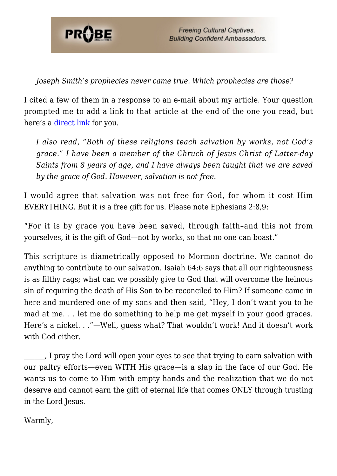

*Joseph Smith's prophecies never came true. Which prophecies are those?*

I cited a few of them in a response to an e-mail about my article. Your question prompted me to add a link to that article at the end of the one you read, but here's a [direct link](http://www.probe.org/cults-and-world-religions/your-comments-about-mormonism-are-nonsense.html) for you.

*I also read, "Both of these religions teach salvation by works, not God's grace." I have been a member of the Chruch of Jesus Christ of Latter-day Saints from 8 years of age, and I have always been taught that we are saved by the grace of God. However, salvation is not free.*

I would agree that salvation was not free for God, for whom it cost Him EVERYTHING. But it *is* a free gift for us. Please note Ephesians 2:8,9:

"For it is by grace you have been saved, through faith–and this not from yourselves, it is the gift of God—not by works, so that no one can boast."

This scripture is diametrically opposed to Mormon doctrine. We cannot do anything to contribute to our salvation. Isaiah 64:6 says that all our righteousness is as filthy rags; what can we possibly give to God that will overcome the heinous sin of requiring the death of His Son to be reconciled to Him? If someone came in here and murdered one of my sons and then said, "Hey, I don't want you to be mad at me. . . let me do something to help me get myself in your good graces. Here's a nickel. . ."—Well, guess what? That wouldn't work! And it doesn't work with God either.

\_\_\_\_\_\_, I pray the Lord will open your eyes to see that trying to earn salvation with our paltry efforts—even WITH His grace—is a slap in the face of our God. He wants us to come to Him with empty hands and the realization that we do not deserve and cannot earn the gift of eternal life that comes ONLY through trusting in the Lord Jesus.

Warmly,